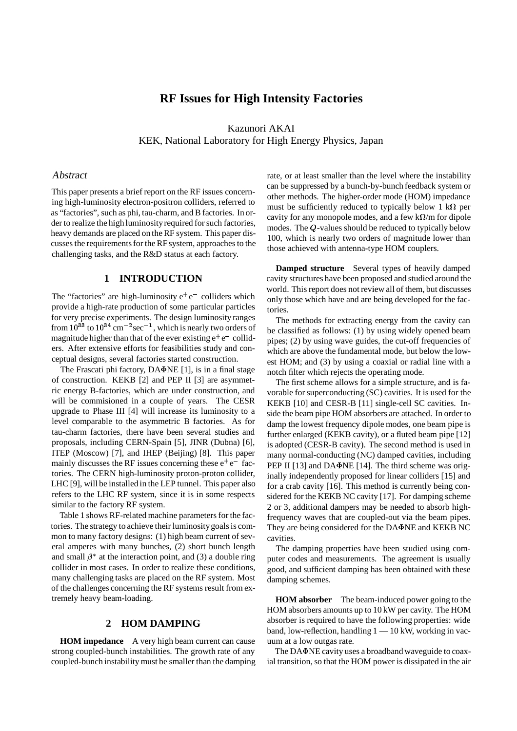# **RF Issues for High Intensity Factories**

Kazunori AKAI KEK, National Laboratory for High Energy Physics, Japan

#### Abstract

This paper presents a brief report on the RF issues concerning high-luminosity electron-positron colliders, referred to as "factories", such as phi, tau-charm, and B factories. In order to realize the high luminosity required for such factories, heavy demands are placed on the RF system. This paper discusses the requirements for the RF system, approaches to the challenging tasks, and the R&D status at each factory.

#### **1 INTRODUCTION**

The "factories" are high-luminosity  $e^+e^-$  colliders which provide a high-rate production of some particular particles for very precise experiments. The design luminosity ranges from  $10^{33}$  to  $10^{34}$  cm<sup>-2</sup> sec<sup>-1</sup>, which is nearly two orders of magnitude higher than that of the ever existing  $e^+e^-$  colliders. After extensive efforts for feasibilities study and conceptual designs, several factories started construction.

The Frascati phi factory,  $DA\Phi NE$  [1], is in a final stage of construction. KEKB [2] and PEP II [3] are asymmetric energy B-factories, which are under construction, and will be commisioned in a couple of years. The CESR upgrade to Phase III [4] will increase its luminosity to a level comparable to the asymmetric B factories. As for tau-charm factories, there have been several studies and proposals, including CERN-Spain [5], JINR (Dubna) [6], ITEP (Moscow) [7], and IHEP (Beijing) [8]. This paper mainly discusses the RF issues concerning these  $e^+e^-$  factories. The CERN high-luminosity proton-proton collider, LHC [9], will be installed in the LEP tunnel. This paper also refers to the LHC RF system, since it is in some respects similar to the factory RF system.

Table 1 shows RF-related machine parameters for the factories. The strategy to achieve their luminositygoals is common to many factory designs: (1) high beam current of several amperes with many bunches, (2) short bunch length and small  $\beta^*$  at the interaction point, and (3) a double ring collider in most cases. In order to realize these conditions, many challenging tasks are placed on the RF system. Most of the challenges concerning the RF systems result from extremely heavy beam-loading.

# **2 HOM DAMPING**

**HOM impedance** A very high beam current can cause strong coupled-bunch instabilities. The growth rate of any coupled-bunch instability must be smaller than the damping rate, or at least smaller than the level where the instability can be suppressed by a bunch-by-bunch feedback system or other methods. The higher-order mode (HOM) impedance must be sufficiently reduced to typically below 1  $k\Omega$  per cavity for any monopole modes, and a few  $k\Omega/m$  for dipole modes. The <sup>Q</sup>-values should be reduced to typically below 100, which is nearly two orders of magnitude lower than those achieved with antenna-type HOM couplers.

**Damped structure** Several types of heavily damped cavity structures have been proposed and studied around the world. This report does not review all of them, but discusses only those which have and are being developed for the factories.

The methods for extracting energy from the cavity can be classified as follows: (1) by using widely opened beam pipes; (2) by using wave guides, the cut-off frequencies of which are above the fundamental mode, but below the lowest HOM; and (3) by using a coaxial or radial line with a notch filter which rejects the operating mode.

The first scheme allows for a simple structure, and is favorable for superconducting (SC) cavities. It is used for the KEKB [10] and CESR-B [11] single-cell SC cavities. Inside the beam pipe HOM absorbers are attached. In order to damp the lowest frequency dipole modes, one beam pipe is further enlarged (KEKB cavity), or a fluted beam pipe [12] is adopted (CESR-B cavity). The second method is used in many normal-conducting (NC) damped cavities, including PEP II [13] and DA $\Phi$ NE [14]. The third scheme was originally independently proposed for linear colliders [15] and for a crab cavity [16]. This method is currently being considered for the KEKB NC cavity [17]. For damping scheme 2 or 3, additional dampers may be needed to absorb highfrequency waves that are coupled-out via the beam pipes. They are being considered for the DA $\Phi$ NE and KEKB NC cavities.

The damping properties have been studied using computer codes and measurements. The agreement is usually good, and sufficient damping has been obtained with these damping schemes.

**HOM absorber** The beam-induced power going to the HOM absorbers amounts up to 10 kW per cavity. The HOM absorber is required to have the following properties: wide band, low-reflection, handling  $1 - 10$  kW, working in vacuum at a low outgas rate.

The DA $\Phi$ NE cavity uses a broadband waveguide to coaxial transition, so that the HOM power is dissipated in the air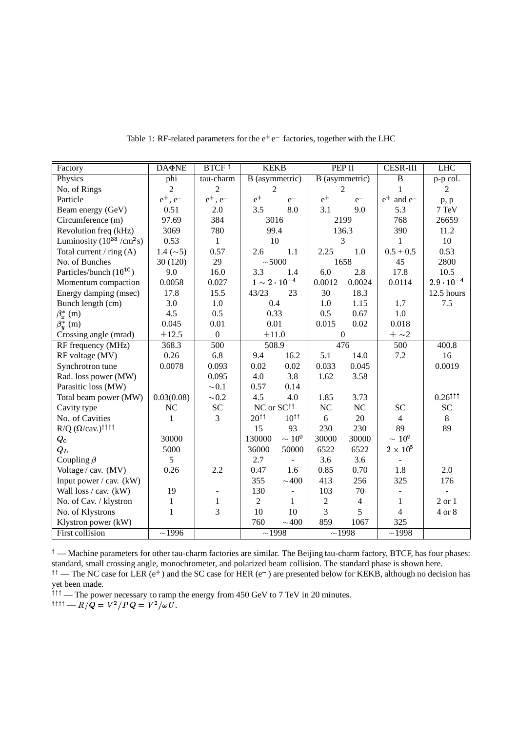| Factory                                   | <b>DA</b> NE   | BTCF <sup>1</sup>        | <b>KEKB</b>                |                          | PEP II           |                | <b>CESR-III</b>             | <b>LHC</b>          |
|-------------------------------------------|----------------|--------------------------|----------------------------|--------------------------|------------------|----------------|-----------------------------|---------------------|
| Physics                                   | phi            | tau-charm                | B (asymmetric)             |                          | B (asymmetric)   |                | $\overline{B}$              | p-p col.            |
| No. of Rings                              | $\overline{2}$ | $\overline{c}$           | $\sqrt{2}$                 |                          | $\overline{2}$   |                | 1                           | $\mathfrak{2}$      |
| Particle                                  | $e^+$ , $e^-$  | $e^+$ , $e^-$            | $e^+$                      | $e^-$                    | $e^+$            | $e^-$          | $e^+$<br>and e <sup>-</sup> | p, p                |
| Beam energy (GeV)                         | 0.51           | 2.0                      | 3.5                        | 8.0                      | 3.1              | 9.0            | 5.3                         | 7 TeV               |
| Circumference (m)                         | 97.69          | 384                      | 3016                       |                          | 2199             |                | 768                         | 26659               |
| Revolution freq (kHz)                     | 3069           | 780                      | 99.4                       |                          | 136.3            |                | 390                         | 11.2                |
| Luminosity $(10^{33}$ /cm <sup>2</sup> s) | 0.53           | $\mathbf{1}$             | 10                         |                          | 3                |                | 1                           | 10                  |
| Total current / ring $(A)$                | $1.4 (\sim 5)$ | 0.57                     | 2.6                        | 1.1                      | 2.25             | 1.0            | $0.5 + 0.5$                 | 0.53                |
| No. of Bunches                            | 30(120)        | 29                       | $\sim$ 5000                |                          | 1658             |                | 45                          | 2800                |
| Particles/bunch $(10^{10})$               | 9.0            | 16.0                     | 3.3                        | 1.4                      | 6.0              | 2.8            | 17.8                        | 10.5                |
| Momentum compaction                       | 0.0058         | 0.027                    | $1\sim$ $2\cdot$ $10^{-4}$ |                          | 0.0012           | 0.0024         | 0.0114                      | $2.9 \cdot 10^{-4}$ |
| Energy damping (msec)                     | 17.8           | 15.5                     | 43/23                      | 23                       | 30               | 18.3           |                             | 12.5 hours          |
| Bunch length (cm)                         | 3.0            | 1.0                      | 0.4                        |                          | 1.0              | 1.15           | 1.7                         | 7.5                 |
| $\beta_x^*$ (m)                           | 4.5            | 0.5                      | 0.33                       |                          | 0.5              | 0.67           | 1.0                         |                     |
| $\beta_{\mathbf{v}}^*$ (m)                | 0.045          | 0.01                     | 0.01                       |                          | 0.015            | 0.02           | 0.018                       |                     |
| Crossing angle (mrad)                     | $\pm 12.5$     | $\overline{0}$           | $\pm 11.0$                 |                          | $\boldsymbol{0}$ |                | $\pm$ ~2                    |                     |
| RF frequency (MHz)                        | 368.3          | 500                      | 508.9                      |                          | 476              |                | 500                         | 400.8               |
| RF voltage (MV)                           | 0.26           | 6.8                      | 9.4                        | 16.2                     | 5.1              | 14.0           | 7.2                         | 16                  |
| Synchrotron tune                          | 0.0078         | 0.093                    | 0.02                       | 0.02                     | 0.033            | 0.045          |                             | 0.0019              |
| Rad. loss power (MW)                      |                | 0.095                    | 4.0                        | 3.8                      | 1.62             | 3.58           |                             |                     |
| Parasitic loss (MW)                       |                | $\sim 0.1$               | 0.57                       | 0.14                     |                  |                |                             |                     |
| Total beam power (MW)                     | 0.03(0.08)     | $\sim 0.2$               | 4.5                        | 4.0                      | 1.85             | 3.73           |                             | $0.26^{\dagger}$    |
| Cavity type                               | <b>NC</b>      | <b>SC</b>                | NC or SC <sup>††</sup>     |                          | NC               | NC             | <b>SC</b>                   | <b>SC</b>           |
| No. of Cavities                           | 1              | 3                        | $20^{\dagger}$             | $10^{\dagger}$           | 6                | 20             | $\overline{4}$              | $\,8\,$             |
| $R/Q$ ( $\Omega$ /cav.) <sup>††††</sup>   |                |                          | 15                         | 93                       | 230              | 230            | 89                          | 89                  |
| $\boldsymbol{Q}_{\boldsymbol{0}}$         | 30000          |                          | 130000                     | $\sim$ $10^{\,9}$        | 30000            | 30000          | $\sim$ $10^{\,9}$           |                     |
| $Q_L$                                     | 5000           |                          | 36000                      | 50000                    | 6522             | 6522           | $2\times10^5$               |                     |
| Coupling $\beta$                          | 5              |                          | 2.7                        | $\equiv$                 | 3.6              | 3.6            |                             |                     |
| Voltage / cav. (MV)                       | 0.26           | 2.2                      | 0.47                       | 1.6                      | 0.85             | 0.70           | 1.8                         | 2.0                 |
| Input power $/\mathbf{cav}$ . (kW)        |                |                          | 355                        | $\sim$ 400               | 413              | 256            | 325                         | 176                 |
| Wall loss / cav. (kW)                     | 19             | $\overline{\phantom{a}}$ | 130                        | $\overline{\phantom{a}}$ | 103              | 70             |                             |                     |
| No. of Cav. / klystron                    | $\mathbf{1}$   | $\mathbf{1}$             | $\overline{2}$             | $\mathbf{1}$             | $\overline{2}$   | $\overline{4}$ | 1                           | $2$ or $1$          |
| No. of Klystrons                          | $\mathbf{1}$   | 3                        | 10                         | 10                       | 3                | 5              | $\overline{4}$              | 4 or 8              |
| Klystron power (kW)                       |                |                          | 760                        | $\sim 400$               | 859              | 1067           | 325                         |                     |
| First collision                           | $\sim$ 1996    |                          | $\sim$ 1998                |                          | $\sim$ 1998      |                | $\sim$ 1998                 |                     |

Table 1: RF-related parameters for the  $e^+e^-$  factories, together with the LHC

 $\phi^{\dagger}$  — Machine parameters for other tau-charm factories are similar. The Beijing tau-charm factory, BTCF, has four phases: standard, small crossing angle, monochrometer, and polarized beam collision. The standard phase is shown here.

<sup> $\uparrow\uparrow$ </sup> — The NC case for LER (e<sup>+</sup>) and the SC case for HER (e<sup>-</sup>) are presented below for KEKB, although no decision has yet been made.

<sup>111</sup> — The power necessary to ramp the energy from 450 GeV to 7 TeV in 20 minutes.<br><sup>1111</sup> —  $R/Q = V^2/PQ = V^2/\omega U$ .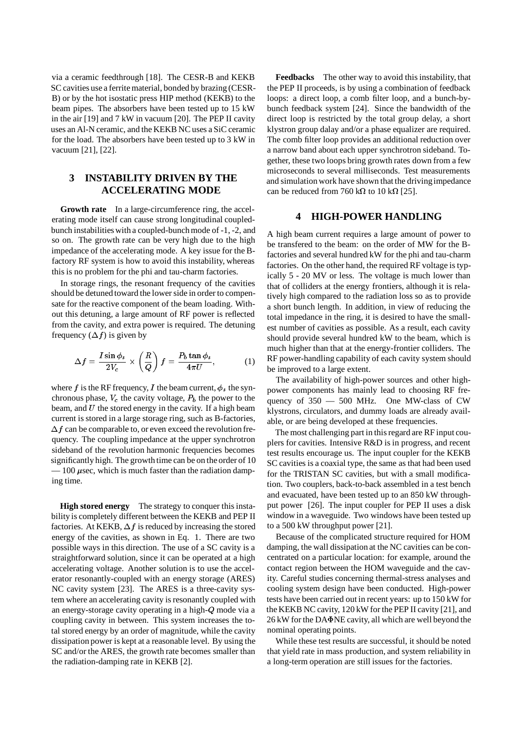via a ceramic feedthrough [18]. The CESR-B and KEKB SC cavities use a ferrite material, bonded by brazing (CESR-B) or by the hot isostatic press HIP method (KEKB) to the beam pipes. The absorbers have been tested up to 15 kW in the air [19] and 7 kW in vacuum [20]. The PEP II cavity uses an Al-N ceramic, and the KEKB NC uses a SiC ceramic for the load. The absorbers have been tested up to 3 kW in vacuum [21], [22].

# **3 INSTABILITY DRIVEN BY THE ACCELERATING MODE**

**Growth rate** In a large-circumference ring, the accelerating mode itself can cause strong longitudinal coupledbunch instabilities with a coupled-bunch mode of -1, -2, and so on. The growth rate can be very high due to the high impedance of the accelerating mode. A key issue for the Bfactory RF system is how to avoid this instability, whereas this is no problem for the phi and tau-charm factories.

In storage rings, the resonant frequency of the cavities should be detuned toward the lower side in order to compensate for the reactive component of the beam loading. Without this detuning, a large amount of RF power is reflected from the cavity, and extra power is required. The detuning frequency  $(\Delta f)$  is given by

$$
\Delta f = \frac{I \sin \phi_s}{2V_c} \times \left(\frac{R}{Q}\right) f = \frac{P_b \tan \phi_s}{4\pi U},\tag{1}
$$

where f is the RF frequency, I the beam current,  $\phi_s$  the synchronous phase,  $V_c$  the cavity voltage,  $P_b$  the power to the beam, and  $U$  the stored energy in the cavity. If a high beam current is stored in a large storage ring, such as B-factories,  $\Delta f$  can be comparable to, or even exceed the revolution frequency. The coupling impedance at the upper synchrotron sideband of the revolution harmonic frequencies becomes significantly high. The growth time can be on the order of 10  $-100 \mu$  sec, which is much faster than the radiation damping time.

**High stored energy** The strategy to conquer this instability is completely different between the KEKB and PEP II factories. At KEKB,  $\Delta f$  is reduced by increasing the stored energy of the cavities, as shown in Eq. 1. There are two possible ways in this direction. The use of a SC cavity is a straightforward solution, since it can be operated at a high accelerating voltage. Another solution is to use the accelerator resonantly-coupled with an energy storage (ARES) NC cavity system [23]. The ARES is a three-cavity system where an accelerating cavity is resonantly coupled with an energy-storage cavity operating in a high-<sup>Q</sup> mode via a coupling cavity in between. This system increases the total stored energy by an order of magnitude, while the cavity dissipation power is kept at a reasonable level. By using the SC and/or the ARES, the growth rate becomes smaller than the radiation-damping rate in KEKB [2].

**Feedbacks** The other way to avoid this instability, that the PEP II proceeds, is by using a combination of feedback loops: a direct loop, a comb filter loop, and a bunch-bybunch feedback system [24]. Since the bandwidth of the direct loop is restricted by the total group delay, a short klystron group dalay and/or a phase equalizer are required. The comb filter loop provides an additional reduction over a narrow band about each upper synchrotron sideband. Together, these two loops bring growth rates down from a few microseconds to several milliseconds. Test measurements and simulation work have shown that the drivingimpedance can be reduced from 760 k $\Omega$  to 10 k $\Omega$  [25].

#### **4 HIGH-POWER HANDLING**

A high beam current requires a large amount of power to be transfered to the beam: on the order of MW for the Bfactories and several hundred kW for the phi and tau-charm factories. On the other hand, the required RF voltage is typically 5 - 20 MV or less. The voltage is much lower than that of colliders at the energy frontiers, although it is relatively high compared to the radiation loss so as to provide a short bunch length. In addition, in view of reducing the total impedance in the ring, it is desired to have the smallest number of cavities as possible. As a result, each cavity should provide several hundred kW to the beam, which is much higher than that at the energy-frontier colliders. The RF power-handling capability of each cavity system should be improved to a large extent.

The availability of high-power sources and other highpower components has mainly lead to choosing RF frequency of 350 — 500 MHz. One MW-class of CW klystrons, circulators, and dummy loads are already available, or are being developed at these frequencies.

The most challenging part in this regard are RF input couplers for cavities. Intensive R&D is in progress, and recent test results encourage us. The input coupler for the KEKB SC cavities is a coaxial type, the same as that had been used for the TRISTAN SC cavities, but with a small modification. Two couplers, back-to-back assembled in a test bench and evacuated, have been tested up to an 850 kW throughput power [26]. The input coupler for PEP II uses a disk window in a waveguide. Two windows have been tested up to a 500 kW throughput power [21].

Because of the complicated structure required for HOM damping, the wall dissipation at the NC cavities can be concentrated on a particular location: for example, around the contact region between the HOM waveguide and the cavity. Careful studies concerning thermal-stress analyses and cooling system design have been conducted. High-power tests have been carried out in recent years: up to 150 kW for the KEKB NC cavity, 120 kW for the PEP II cavity [21], and 26 kW for the DANE cavity, all which are well beyond the nominal operating points.

While these test results are successful, it should be noted that yield rate in mass production, and system reliability in a long-term operation are still issues for the factories.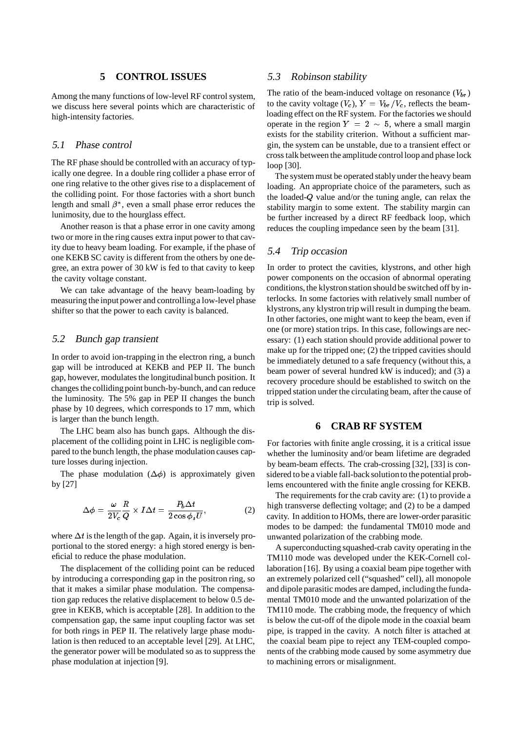#### **5 CONTROL ISSUES**

Among the many functions of low-level RF control system, we discuss here several points which are characteristic of high-intensity factories.

#### 5.1 Phase control

The RF phase should be controlled with an accuracy of typically one degree. In a double ring collider a phase error of one ring relative to the other gives rise to a displacement of the colliding point. For those factories with a short bunch length and small  $\beta^*$ , even a small phase error reduces the lunimosity, due to the hourglass effect.

Another reason is that a phase error in one cavity among two or more in the ring causes extra input power to that cavity due to heavy beam loading. For example, if the phase of one KEKB SC cavity is different from the others by one degree, an extra power of 30 kW is fed to that cavity to keep the cavity voltage constant.

We can take advantage of the heavy beam-loading by measuring the input power and controllinga low-level phase shifter so that the power to each cavity is balanced.

#### 5.2 Bunch gap transient

In order to avoid ion-trapping in the electron ring, a bunch gap will be introduced at KEKB and PEP II. The bunch gap, however, modulates the longitudinal bunch position. It changes the collidingpoint bunch-by-bunch, and can reduce the luminosity. The 5% gap in PEP II changes the bunch phase by 10 degrees, which corresponds to 17 mm, which is larger than the bunch length.

The LHC beam also has bunch gaps. Although the displacement of the colliding point in LHC is negligible compared to the bunch length, the phase modulation causes capture losses during injection.

The phase modulation  $(\Delta \phi)$  is approximately given by [27]

$$
\Delta \phi = \frac{\omega}{2V_c} \frac{R}{Q} \times I \Delta t = \frac{P_b \Delta t}{2 \cos \phi_s U},\tag{2}
$$

where  $\Delta t$  is the length of the gap. Again, it is inversely proportional to the stored energy: a high stored energy is beneficial to reduce the phase modulation.

The displacement of the colliding point can be reduced by introducing a corresponding gap in the positron ring, so that it makes a similar phase modulation. The compensation gap reduces the relative displacement to below 0.5 degree in KEKB, which is acceptable [28]. In addition to the compensation gap, the same input coupling factor was set for both rings in PEP II. The relatively large phase modulation is then reduced to an acceptable level [29]. At LHC, the generator power will be modulated so as to suppress the phase modulation at injection [9].

#### 5.3 Robinson stability

The ratio of the beam-induced voltage on resonance  $(V_{b\,})$ to the cavity voltage  $(V_c)$ ,  $Y = V_{br}/V_c$ , reflects the beamloading effect on the RF system. For the factories we should operate in the region  $Y = 2 \sim 5$ , where a small margin exists for the stability criterion. Without a sufficient margin, the system can be unstable, due to a transient effect or cross talk between the amplitude control loop and phase lock loop [30].

The system must be operated stably under the heavy beam loading. An appropriate choice of the parameters, such as the loaded-<sup>Q</sup> value and/or the tuning angle, can relax the stability margin to some extent. The stability margin can be further increased by a direct RF feedback loop, which reduces the coupling impedance seen by the beam [31].

#### 5.4 Trip occasion

In order to protect the cavities, klystrons, and other high power components on the occasion of abnormal operating conditions, the klystronstation should be switched off by interlocks. In some factories with relatively small number of klystrons, any klystron trip will result in dumping the beam. In other factories, one might want to keep the beam, even if one (or more) station trips. In this case, followings are necessary: (1) each station should provide additional power to make up for the tripped one; (2) the tripped cavities should be immediately detuned to a safe frequency (without this, a beam power of several hundred kW is induced); and (3) a recovery procedure should be established to switch on the tripped station under the circulating beam, after the cause of trip is solved.

## **6 CRAB RF SYSTEM**

For factories with finite angle crossing, it is a critical issue whether the luminosity and/or beam lifetime are degraded by beam-beam effects. The crab-crossing [32], [33] is considered to be a viable fall-back solutionto the potential problems encountered with the finite angle crossing for KEKB.

The requirements for the crab cavity are: (1) to provide a high transverse deflecting voltage; and (2) to be a damped cavity. In addition to HOMs, there are lower-order parasitic modes to be damped: the fundamental TM010 mode and unwanted polarization of the crabbing mode.

A superconducting squashed-crab cavity operating in the TM110 mode was developed under the KEK-Cornell collaboration [16]. By using a coaxial beam pipe together with an extremely polarized cell ("squashed" cell), all monopole and dipole parasitic modes are damped, including the fundamental TM010 mode and the unwanted polarization of the TM110 mode. The crabbing mode, the frequency of which is below the cut-off of the dipole mode in the coaxial beam pipe, is trapped in the cavity. A notch filter is attached at the coaxial beam pipe to reject any TEM-coupled components of the crabbing mode caused by some asymmetry due to machining errors or misalignment.